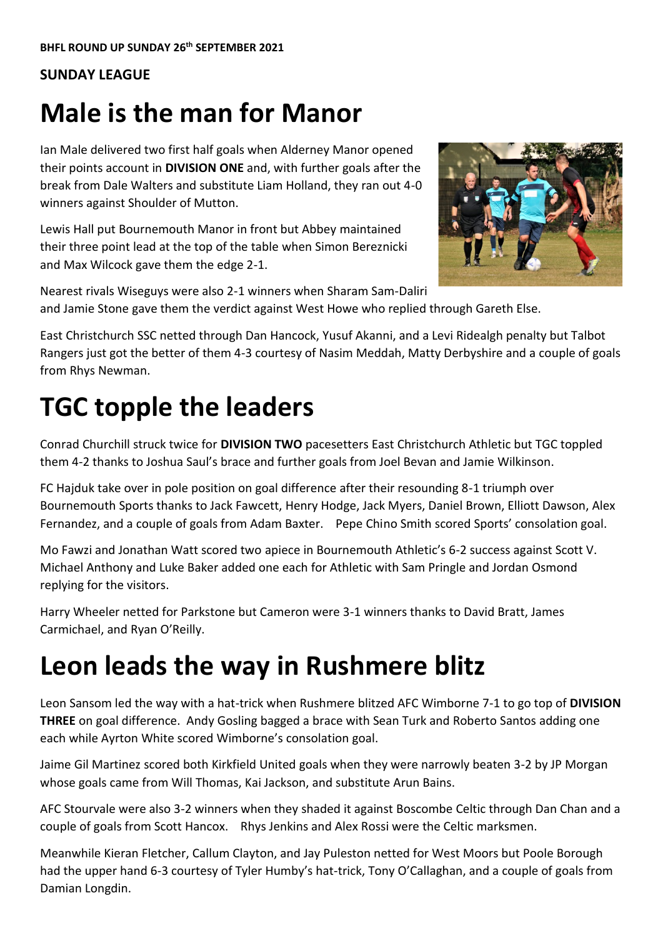#### **SUNDAY LEAGUE**

## **Male is the man for Manor**

Ian Male delivered two first half goals when Alderney Manor opened their points account in **DIVISION ONE** and, with further goals after the break from Dale Walters and substitute Liam Holland, they ran out 4-0 winners against Shoulder of Mutton.

Lewis Hall put Bournemouth Manor in front but Abbey maintained their three point lead at the top of the table when Simon Bereznicki and Max Wilcock gave them the edge 2-1.



Nearest rivals Wiseguys were also 2-1 winners when Sharam Sam-Daliri and Jamie Stone gave them the verdict against West Howe who replied through Gareth Else.

East Christchurch SSC netted through Dan Hancock, Yusuf Akanni, and a Levi Ridealgh penalty but Talbot Rangers just got the better of them 4-3 courtesy of Nasim Meddah, Matty Derbyshire and a couple of goals from Rhys Newman.

# **TGC topple the leaders**

Conrad Churchill struck twice for **DIVISION TWO** pacesetters East Christchurch Athletic but TGC toppled them 4-2 thanks to Joshua Saul's brace and further goals from Joel Bevan and Jamie Wilkinson.

FC Hajduk take over in pole position on goal difference after their resounding 8-1 triumph over Bournemouth Sports thanks to Jack Fawcett, Henry Hodge, Jack Myers, Daniel Brown, Elliott Dawson, Alex Fernandez, and a couple of goals from Adam Baxter. Pepe Chino Smith scored Sports' consolation goal.

Mo Fawzi and Jonathan Watt scored two apiece in Bournemouth Athletic's 6-2 success against Scott V. Michael Anthony and Luke Baker added one each for Athletic with Sam Pringle and Jordan Osmond replying for the visitors.

Harry Wheeler netted for Parkstone but Cameron were 3-1 winners thanks to David Bratt, James Carmichael, and Ryan O'Reilly.

## **Leon leads the way in Rushmere blitz**

Leon Sansom led the way with a hat-trick when Rushmere blitzed AFC Wimborne 7-1 to go top of **DIVISION THREE** on goal difference. Andy Gosling bagged a brace with Sean Turk and Roberto Santos adding one each while Ayrton White scored Wimborne's consolation goal.

Jaime Gil Martinez scored both Kirkfield United goals when they were narrowly beaten 3-2 by JP Morgan whose goals came from Will Thomas, Kai Jackson, and substitute Arun Bains.

AFC Stourvale were also 3-2 winners when they shaded it against Boscombe Celtic through Dan Chan and a couple of goals from Scott Hancox. Rhys Jenkins and Alex Rossi were the Celtic marksmen.

Meanwhile Kieran Fletcher, Callum Clayton, and Jay Puleston netted for West Moors but Poole Borough had the upper hand 6-3 courtesy of Tyler Humby's hat-trick, Tony O'Callaghan, and a couple of goals from Damian Longdin.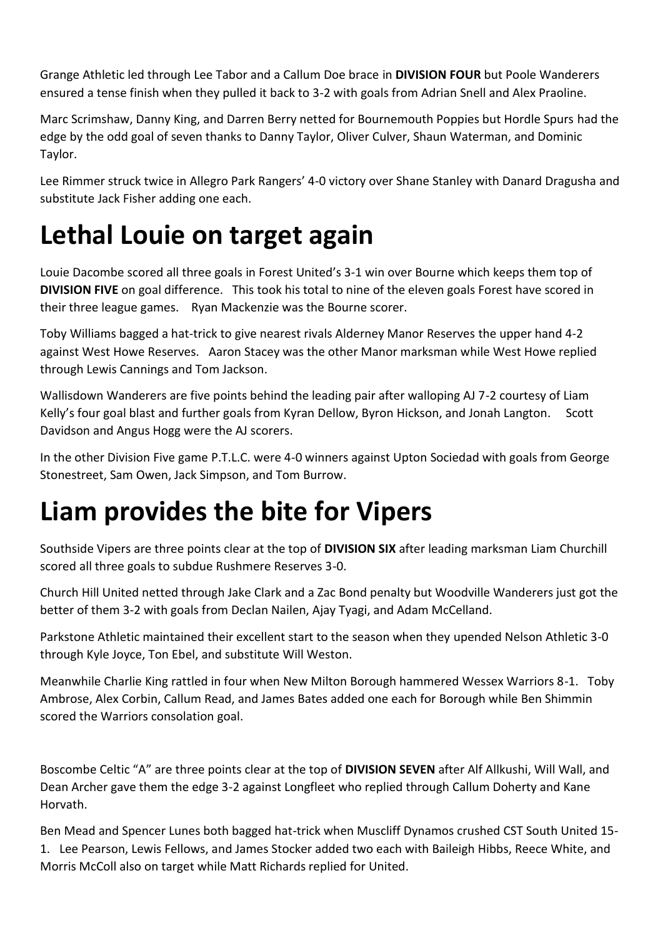Grange Athletic led through Lee Tabor and a Callum Doe brace in **DIVISION FOUR** but Poole Wanderers ensured a tense finish when they pulled it back to 3-2 with goals from Adrian Snell and Alex Praoline.

Marc Scrimshaw, Danny King, and Darren Berry netted for Bournemouth Poppies but Hordle Spurs had the edge by the odd goal of seven thanks to Danny Taylor, Oliver Culver, Shaun Waterman, and Dominic Taylor.

Lee Rimmer struck twice in Allegro Park Rangers' 4-0 victory over Shane Stanley with Danard Dragusha and substitute Jack Fisher adding one each.

# **Lethal Louie on target again**

Louie Dacombe scored all three goals in Forest United's 3-1 win over Bourne which keeps them top of **DIVISION FIVE** on goal difference. This took his total to nine of the eleven goals Forest have scored in their three league games. Ryan Mackenzie was the Bourne scorer.

Toby Williams bagged a hat-trick to give nearest rivals Alderney Manor Reserves the upper hand 4-2 against West Howe Reserves. Aaron Stacey was the other Manor marksman while West Howe replied through Lewis Cannings and Tom Jackson.

Wallisdown Wanderers are five points behind the leading pair after walloping AJ 7-2 courtesy of Liam Kelly's four goal blast and further goals from Kyran Dellow, Byron Hickson, and Jonah Langton. Scott Davidson and Angus Hogg were the AJ scorers.

In the other Division Five game P.T.L.C. were 4-0 winners against Upton Sociedad with goals from George Stonestreet, Sam Owen, Jack Simpson, and Tom Burrow.

## **Liam provides the bite for Vipers**

Southside Vipers are three points clear at the top of **DIVISION SIX** after leading marksman Liam Churchill scored all three goals to subdue Rushmere Reserves 3-0.

Church Hill United netted through Jake Clark and a Zac Bond penalty but Woodville Wanderers just got the better of them 3-2 with goals from Declan Nailen, Ajay Tyagi, and Adam McCelland.

Parkstone Athletic maintained their excellent start to the season when they upended Nelson Athletic 3-0 through Kyle Joyce, Ton Ebel, and substitute Will Weston.

Meanwhile Charlie King rattled in four when New Milton Borough hammered Wessex Warriors 8-1. Toby Ambrose, Alex Corbin, Callum Read, and James Bates added one each for Borough while Ben Shimmin scored the Warriors consolation goal.

Boscombe Celtic "A" are three points clear at the top of **DIVISION SEVEN** after Alf Allkushi, Will Wall, and Dean Archer gave them the edge 3-2 against Longfleet who replied through Callum Doherty and Kane Horvath.

Ben Mead and Spencer Lunes both bagged hat-trick when Muscliff Dynamos crushed CST South United 15- 1. Lee Pearson, Lewis Fellows, and James Stocker added two each with Baileigh Hibbs, Reece White, and Morris McColl also on target while Matt Richards replied for United.